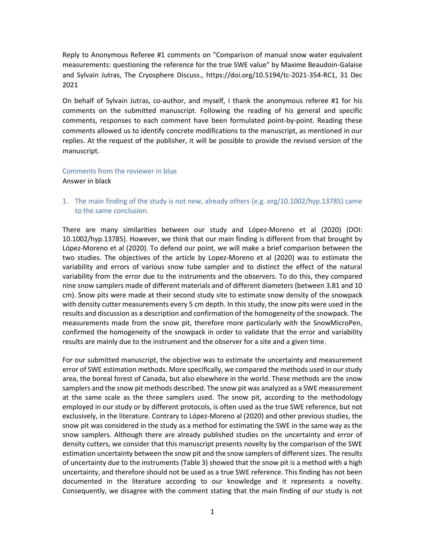Reply to Anonymous Referee #1 comments on "Comparison of manual snow water equivalent measurements: questioning the reference for the true SWE value" by Maxime Beaudoin-Galaise and Sylvain Jutras, The Cryosphere Discuss., https://doi.org/10.5194/tc-2021-354-RC1, 31 Dec 2021

On behalf of Sylvain Jutras, co-author, and myself, I thank the anonymous referee #1 for his comments on the submitted manuscript. Following the reading of his general and specific comments, responses to each comment have been formulated point-by-point. Reading these comments allowed us to identify concrete modifications to the manuscript, as mentioned in our replies. At the request of the publisher, it will be possible to provide the revised version of the manuscript.

## Comments from the reviewer in blue

Answer in black

1. The main finding of the study is not new, already others (e.g. org/10.1002/hyp.13785) came to the same conclusion.

There are many similarities between our study and López-Moreno et al (2020) (DOI: 10.1002/hyp.13785). However, we think that our main finding is different from that brought by López-Moreno et al (2020). To defend our point, we will make a brief comparison between the two studies. The objectives of the article by Lopez-Moreno et al (2020) was to estimate the variability and errors of various snow tube sampler and to distinct the effect of the natural variability from the error due to the instruments and the observers. To do this, they compared nine snow samplers made of different materials and of different diameters (between 3.81 and 10 cm). Snow pits were made at their second study site to estimate snow density of the snowpack with density cutter measurements every 5 cm depth. In this study, the snow pits were used in the results and discussion as a description and confirmation of the homogeneity of the snowpack. The measurements made from the snow pit, therefore more particularly with the SnowMicroPen, confirmed the homogeneity of the snowpack in order to validate that the error and variability results are mainly due to the instrument and the observer for a site and a given time.

For our submitted manuscript, the objective was to estimate the uncertainty and measurement error of SWE estimation methods. More specifically, we compared the methods used in our study area, the boreal forest of Canada, but also elsewhere in the world. These methods are the snow samplers and the snow pit methods described. The snow pit was analyzed as a SWE measurement at the same scale as the three samplers used. The snow pit, according to the methodology employed in our study or by different protocols, is often used as the true SWE reference, but not exclusively, in the literature. Contrary to López-Moreno al (2020) and other previous studies, the snow pit was considered in the study as a method for estimating the SWE in the same way as the snow samplers. Although there are already published studies on the uncertainty and error of density cutters, we consider that this manuscript presents novelty by the comparison of the SWE estimation uncertainty between the snow pit and the snow samplers of different sizes. The results of uncertainty due to the instruments (Table 3) showed that the snow pit is a method with a high uncertainty, and therefore should not be used as a true SWE reference. This finding has not been documented in the literature according to our knowledge and it represents a novelty. Consequently, we disagree with the comment stating that the main finding of our study is not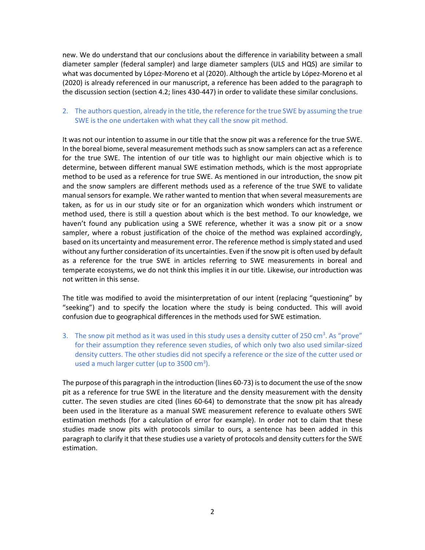new. We do understand that our conclusions about the difference in variability between a small diameter sampler (federal sampler) and large diameter samplers (ULS and HQS) are similar to what was documented by López-Moreno et al (2020). Although the article by López-Moreno et al (2020) is already referenced in our manuscript, a reference has been added to the paragraph to the discussion section (section 4.2; lines 430-447) in order to validate these similar conclusions.

## 2. The authors question, already in the title, the reference for the true SWE by assuming the true SWE is the one undertaken with what they call the snow pit method.

It was not our intention to assume in our title that the snow pit was a reference for the true SWE. In the boreal biome, several measurement methods such as snow samplers can act as a reference for the true SWE. The intention of our title was to highlight our main objective which is to determine, between different manual SWE estimation methods, which is the most appropriate method to be used as a reference for true SWE. As mentioned in our introduction, the snow pit and the snow samplers are different methods used as a reference of the true SWE to validate manual sensors for example. We rather wanted to mention that when several measurements are taken, as for us in our study site or for an organization which wonders which instrument or method used, there is still a question about which is the best method. To our knowledge, we haven't found any publication using a SWE reference, whether it was a snow pit or a snow sampler, where a robust justification of the choice of the method was explained accordingly, based on its uncertainty and measurement error. The reference method is simply stated and used without any further consideration of its uncertainties. Even if the snow pit is often used by default as a reference for the true SWE in articles referring to SWE measurements in boreal and temperate ecosystems, we do not think this implies it in our title. Likewise, our introduction was not written in this sense.

The title was modified to avoid the misinterpretation of our intent (replacing "questioning" by "seeking") and to specify the location where the study is being conducted. This will avoid confusion due to geographical differences in the methods used for SWE estimation.

3. The snow pit method as it was used in this study uses a density cutter of 250 cm<sup>3</sup>. As "prove" for their assumption they reference seven studies, of which only two also used similar-sized density cutters. The other studies did not specify a reference or the size of the cutter used or used a much larger cutter (up to  $3500 \text{ cm}^3$ ).

The purpose of this paragraph in the introduction (lines 60-73) is to document the use of the snow pit as a reference for true SWE in the literature and the density measurement with the density cutter. The seven studies are cited (lines 60-64) to demonstrate that the snow pit has already been used in the literature as a manual SWE measurement reference to evaluate others SWE estimation methods (for a calculation of error for example). In order not to claim that these studies made snow pits with protocols similar to ours, a sentence has been added in this paragraph to clarify it that these studies use a variety of protocols and density cutters for the SWE estimation.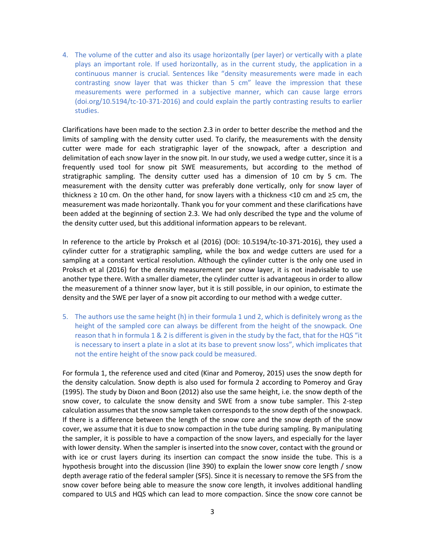4. The volume of the cutter and also its usage horizontally (per layer) or vertically with a plate plays an important role. If used horizontally, as in the current study, the application in a continuous manner is crucial. Sentences like "density measurements were made in each contrasting snow layer that was thicker than 5 cm" leave the impression that these measurements were performed in a subjective manner, which can cause large errors (doi.org/10.5194/tc-10-371-2016) and could explain the partly contrasting results to earlier studies.

Clarifications have been made to the section 2.3 in order to better describe the method and the limits of sampling with the density cutter used. To clarify, the measurements with the density cutter were made for each stratigraphic layer of the snowpack, after a description and delimitation of each snow layer in the snow pit. In our study, we used a wedge cutter, since it is a frequently used tool for snow pit SWE measurements, but according to the method of stratigraphic sampling. The density cutter used has a dimension of 10 cm by 5 cm. The measurement with the density cutter was preferably done vertically, only for snow layer of thickness ≥ 10 cm. On the other hand, for snow layers with a thickness <10 cm and ≥5 cm, the measurement was made horizontally. Thank you for your comment and these clarifications have been added at the beginning of section 2.3. We had only described the type and the volume of the density cutter used, but this additional information appears to be relevant.

In reference to the article by Proksch et al (2016) (DOI: 10.5194/tc-10-371-2016), they used a cylinder cutter for a stratigraphic sampling, while the box and wedge cutters are used for a sampling at a constant vertical resolution. Although the cylinder cutter is the only one used in Proksch et al (2016) for the density measurement per snow layer, it is not inadvisable to use another type there. With a smaller diameter, the cylinder cutter is advantageous in order to allow the measurement of a thinner snow layer, but it is still possible, in our opinion, to estimate the density and the SWE per layer of a snow pit according to our method with a wedge cutter.

5. The authors use the same height (h) in their formula 1 und 2, which is definitely wrong as the height of the sampled core can always be different from the height of the snowpack. One reason that h in formula 1 & 2 is different is given in the study by the fact, that for the HQS "it is necessary to insert a plate in a slot at its base to prevent snow loss", which implicates that not the entire height of the snow pack could be measured.

For formula 1, the reference used and cited (Kinar and Pomeroy, 2015) uses the snow depth for the density calculation. Snow depth is also used for formula 2 according to Pomeroy and Gray (1995). The study by Dixon and Boon (2012) also use the same height, i.e. the snow depth of the snow cover, to calculate the snow density and SWE from a snow tube sampler. This 2-step calculation assumes that the snow sample taken corresponds to the snow depth of the snowpack. If there is a difference between the length of the snow core and the snow depth of the snow cover, we assume that it is due to snow compaction in the tube during sampling. By manipulating the sampler, it is possible to have a compaction of the snow layers, and especially for the layer with lower density. When the sampler is inserted into the snow cover, contact with the ground or with ice or crust layers during its insertion can compact the snow inside the tube. This is a hypothesis brought into the discussion (line 390) to explain the lower snow core length / snow depth average ratio of the federal sampler (SFS). Since it is necessary to remove the SFS from the snow cover before being able to measure the snow core length, it involves additional handling compared to ULS and HQS which can lead to more compaction. Since the snow core cannot be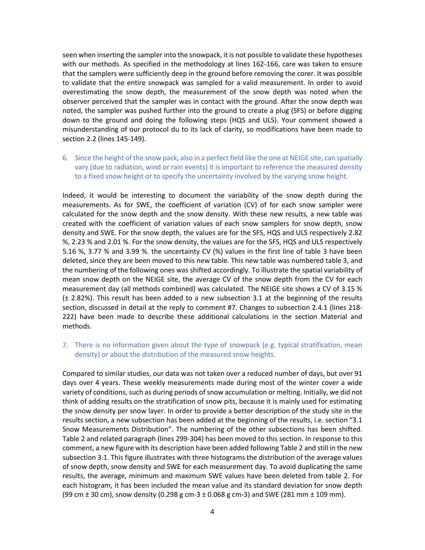seen when inserting the sampler into the snowpack, it is not possible to validate these hypotheses with our methods. As specified in the methodology at lines 162-166, care was taken to ensure that the samplers were sufficiently deep in the ground before removing the corer. It was possible to validate that the entire snowpack was sampled for a valid measurement. In order to avoid overestimating the snow depth, the measurement of the snow depth was noted when the observer perceived that the sampler was in contact with the ground. After the snow depth was noted, the sampler was pushed further into the ground to create a plug (SFS) or before digging down to the ground and doing the following steps (HQS and ULS). Your comment showed a misunderstanding of our protocol du to its lack of clarity, so modifications have been made to section 2.2 (lines 145-149).

6. Since the height of the snow pack, also in a perfect field like the one at NEIGE site, can spatially vary (due to radiation, wind or rain events) it is important to reference the measured density to a fixed snow height or to specify the uncertainty involved by the varying snow height.

Indeed, it would be interesting to document the variability of the snow depth during the measurements. As for SWE, the coefficient of variation (CV) of for each snow sampler were calculated for the snow depth and the snow density. With these new results, a new table was created with the coefficient of variation values of each snow samplers for snow depth, snow density and SWE. For the snow depth, the values are for the SFS, HQS and ULS respectively 2.82 %, 2.23 % and 2.01 %. For the snow density, the values are for the SFS, HQS and ULS respectively 5.16 %, 3.77 % and 3.99 %. the uncertainty CV (%) values in the first line of table 3 have been deleted, since they are been moved to this new table. This new table was numbered table 3, and the numbering of the following ones was shifted accordingly. To illustrate the spatial variability of mean snow depth on the NEIGE site, the average CV of the snow depth from the CV for each measurement day (all methods combined) was calculated. The NEIGE site shows a CV of 3.15 % (± 2.82%). This result has been added to a new subsection 3.1 at the beginning of the results section, discussed in detail at the reply to comment #7. Changes to subsection 2.4.1 (lines 218- 222) have been made to describe these additional calculations in the section Material and methods.

7. There is no information given about the type of snowpack (e.g. typical stratification, mean density) or about the distribution of the measured snow heights.

Compared to similar studies, our data was not taken over a reduced number of days, but over 91 days over 4 years. These weekly measurements made during most of the winter cover a wide variety of conditions, such as during periods of snow accumulation or melting. Initially, we did not think of adding results on the stratification of snow pits, because it is mainly used for estimating the snow density per snow layer. In order to provide a better description of the study site in the results section, a new subsection has been added at the beginning of the results, i.e. section "3.1 Snow Measurements Distribution". The numbering of the other subsections has been shifted. Table 2 and related paragraph (lines 299-304) has been moved to this section. In response to this comment, a new figure with its description have been added following Table 2 and still in the new subsection 3.1. This figure illustrates with three histograms the distribution of the average values of snow depth, snow density and SWE for each measurement day. To avoid duplicating the same results, the average, minimum and maximum SWE values have been deleted from table 2. For each histogram, it has been included the mean value and its standard deviation for snow depth (99 cm  $\pm$  30 cm), snow density (0.298 g cm-3  $\pm$  0.068 g cm-3) and SWE (281 mm  $\pm$  109 mm).